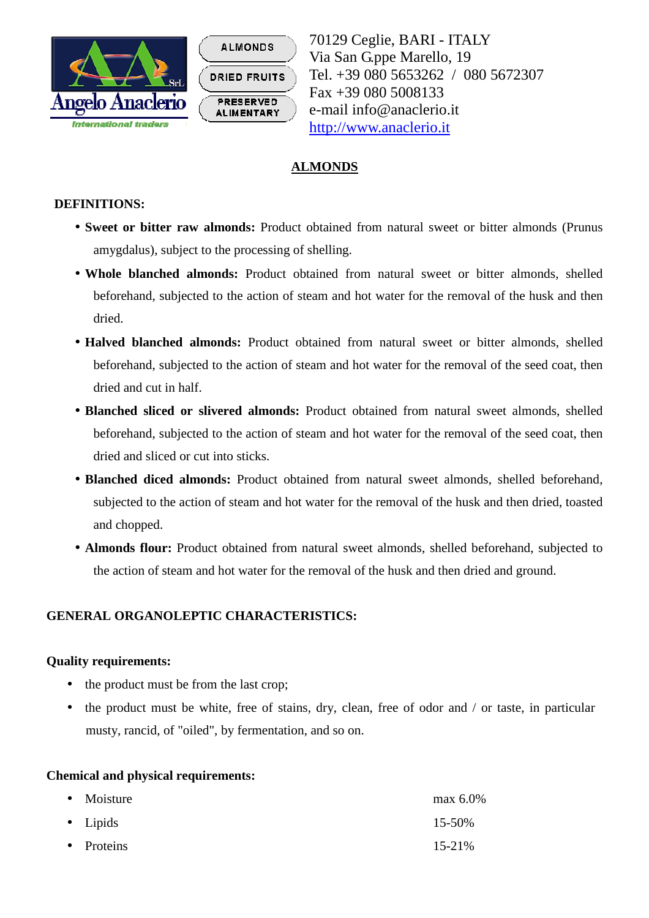



70129 Ceglie, BARI - ITALY Via San G.ppe Marello, 19 Tel. +39 080 5653262 / 080 5672307 Fax +39 080 5008133 e-mail info@anaclerio.it http://www.anaclerio.it

# **ALMONDS**

### **DEFINITIONS:**

- **Sweet or bitter raw almonds:** Product obtained from natural sweet or bitter almonds (Prunus amygdalus), subject to the processing of shelling.
- **Whole blanched almonds:** Product obtained from natural sweet or bitter almonds, shelled beforehand, subjected to the action of steam and hot water for the removal of the husk and then dried.
- **Halved blanched almonds:** Product obtained from natural sweet or bitter almonds, shelled beforehand, subjected to the action of steam and hot water for the removal of the seed coat, then dried and cut in half.
- **Blanched sliced or slivered almonds:** Product obtained from natural sweet almonds, shelled beforehand, subjected to the action of steam and hot water for the removal of the seed coat, then dried and sliced or cut into sticks.
- **Blanched diced almonds:** Product obtained from natural sweet almonds, shelled beforehand, subjected to the action of steam and hot water for the removal of the husk and then dried, toasted and chopped.
- **Almonds flour:** Product obtained from natural sweet almonds, shelled beforehand, subjected to the action of steam and hot water for the removal of the husk and then dried and ground.

## **GENERAL ORGANOLEPTIC CHARACTERISTICS:**

#### **Quality requirements:**

- the product must be from the last crop;
- the product must be white, free of stains, dry, clean, free of odor and / or taste, in particular musty, rancid, of "oiled", by fermentation, and so on.

#### **Chemical and physical requirements:**

| $\bullet$ Moisture | max $6.0\%$ |
|--------------------|-------------|
| $\bullet$ Lipids   | 15-50%      |
| • Proteins         | $15 - 21\%$ |